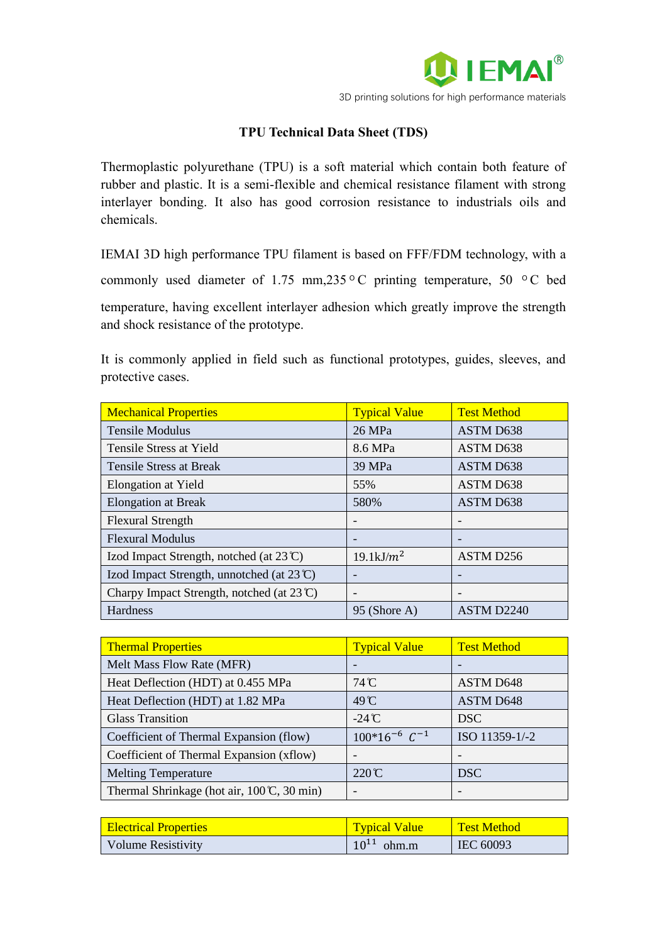

## **TPU Technical Data Sheet (TDS)**

Thermoplastic polyurethane (TPU) is a soft material which contain both feature of rubber and plastic. It is a semi-flexible and chemical resistance filament with strong interlayer bonding. It also has good corrosion resistance to industrials oils and chemicals.

IEMAI 3D high performance TPU filament is based on FFF/FDM technology, with a

commonly used diameter of 1.75 mm,235 °C printing temperature, 50 °C bed

temperature, having excellent interlayer adhesion which greatly improve the strength and shock resistance of the prototype.

It is commonly applied in field such as functional prototypes, guides, sleeves, and protective cases.

| <b>Mechanical Properties</b>                         | <b>Typical Value</b> | <b>Test Method</b>           |
|------------------------------------------------------|----------------------|------------------------------|
| <b>Tensile Modulus</b>                               | 26 MPa               | ASTM D638                    |
| Tensile Stress at Yield                              | 8.6 MPa              | ASTM D638                    |
| Tensile Stress at Break                              | 39 MPa               | ASTM D638                    |
| <b>Elongation at Yield</b>                           | 55%                  | ASTM D638                    |
| <b>Elongation at Break</b>                           | 580%                 | ASTM D638                    |
| <b>Flexural Strength</b>                             |                      |                              |
| <b>Flexural Modulus</b>                              |                      | -                            |
| Izod Impact Strength, notched (at $23^{\circ}$ C)    | $19.1 \text{kJ/m}^2$ | ASTM D256                    |
| Izod Impact Strength, unnotched (at $23 \text{°C}$ ) |                      |                              |
| Charpy Impact Strength, notched (at $23^{\circ}$ C)  | $\qquad \qquad$      | $\qquad \qquad \blacksquare$ |
| Hardness                                             | 95 (Shore A)         | ASTM D2240                   |

| <b>Thermal Properties</b>                                        | <b>Typical Value</b>   | <b>Test Method</b> |
|------------------------------------------------------------------|------------------------|--------------------|
| Melt Mass Flow Rate (MFR)                                        |                        |                    |
| Heat Deflection (HDT) at 0.455 MPa                               | $74^{\circ}$ C         | <b>ASTM D648</b>   |
| Heat Deflection (HDT) at 1.82 MPa                                | 49°C                   | <b>ASTM D648</b>   |
| <b>Glass Transition</b>                                          | $-24^\circ$ C          | <b>DSC</b>         |
| Coefficient of Thermal Expansion (flow)                          | $100*16^{-6}$ $C^{-1}$ | ISO 11359-1/-2     |
| Coefficient of Thermal Expansion (xflow)                         |                        |                    |
| <b>Melting Temperature</b>                                       | $220^\circ\text{C}$    | <b>DSC</b>         |
| Thermal Shrinkage (hot air, $100 \text{ C}$ , $30 \text{ min}$ ) |                        |                    |

| <b>Electrical Properties</b> | <b>Typical Value</b> | <b>Test Method</b> |
|------------------------------|----------------------|--------------------|
| <b>Volume Resistivity</b>    | $10^{11}$ ohm.m      | IEC 60093          |